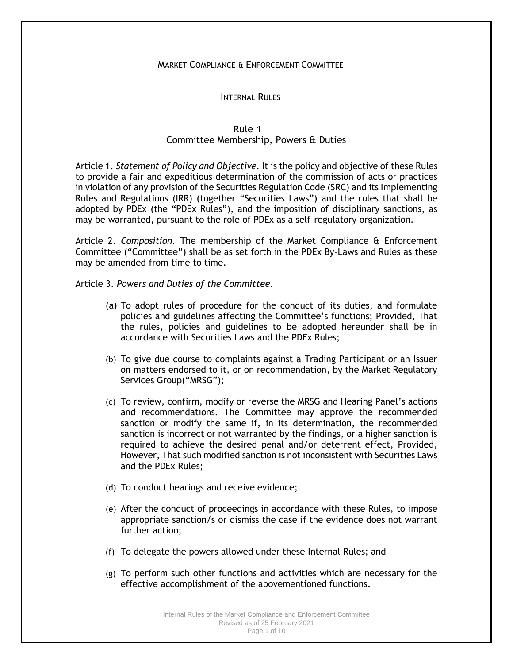# MARKET COMPLIANCE & ENFORCEMENT COMMITTEE

#### INTERNAL RULES

# Rule 1 Committee Membership, Powers & Duties

Article 1. *Statement of Policy and Objective.* It is the policy and objective of these Rules to provide a fair and expeditious determination of the commission of acts or practices in violation of any provision of the Securities Regulation Code (SRC) and its Implementing Rules and Regulations (IRR) (together "Securities Laws") and the rules that shall be adopted by PDEx (the "PDEx Rules"), and the imposition of disciplinary sanctions, as may be warranted, pursuant to the role of PDEx as a self-regulatory organization.

Article 2. *Composition.* The membership of the Market Compliance & Enforcement Committee ("Committee") shall be as set forth in the PDEx By-Laws and Rules as these may be amended from time to time.

Article 3. *Powers and Duties of the Committee*.

- (a) To adopt rules of procedure for the conduct of its duties, and formulate policies and guidelines affecting the Committee's functions; Provided, That the rules, policies and guidelines to be adopted hereunder shall be in accordance with Securities Laws and the PDEx Rules;
- (b) To give due course to complaints against a Trading Participant or an Issuer on matters endorsed to it, or on recommendation, by the Market Regulatory Services Group("MRSG");
- (c) To review, confirm, modify or reverse the MRSG and Hearing Panel's actions and recommendations. The Committee may approve the recommended sanction or modify the same if, in its determination, the recommended sanction is incorrect or not warranted by the findings, or a higher sanction is required to achieve the desired penal and/or deterrent effect, Provided, However, That such modified sanction is not inconsistent with Securities Laws and the PDEx Rules;
- (d) To conduct hearings and receive evidence;
- (e) After the conduct of proceedings in accordance with these Rules, to impose appropriate sanction/s or dismiss the case if the evidence does not warrant further action;
- (f) To delegate the powers allowed under these Internal Rules; and
- (g) To perform such other functions and activities which are necessary for the effective accomplishment of the abovementioned functions.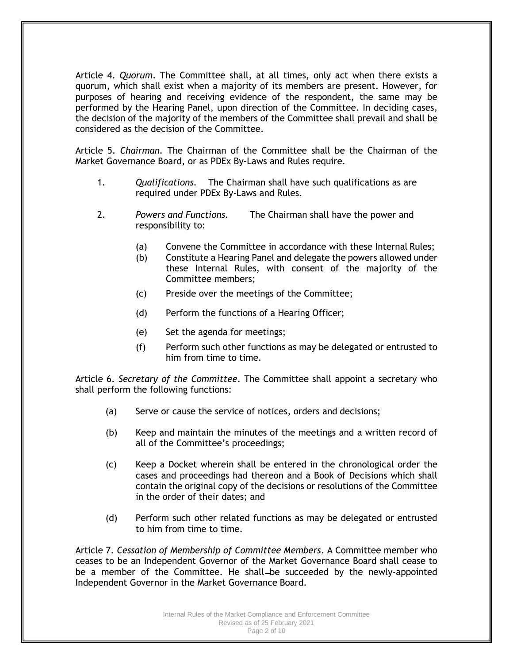Article 4. *Quorum*. The Committee shall, at all times, only act when there exists a quorum, which shall exist when a majority of its members are present. However, for purposes of hearing and receiving evidence of the respondent, the same may be performed by the Hearing Panel, upon direction of the Committee. In deciding cases, the decision of the majority of the members of the Committee shall prevail and shall be considered as the decision of the Committee.

Article 5. *Chairman.* The Chairman of the Committee shall be the Chairman of the Market Governance Board, or as PDEx By-Laws and Rules require.

- 1. *Qualifications.* The Chairman shall have such qualifications as are required under PDEx By-Laws and Rules.
- 2. *Powers and Functions.* The Chairman shall have the power and responsibility to:
	- (a) Convene the Committee in accordance with these Internal Rules;
	- (b) Constitute a Hearing Panel and delegate the powers allowed under these Internal Rules, with consent of the majority of the Committee members;
	- (c) Preside over the meetings of the Committee;
	- (d) Perform the functions of a Hearing Officer;
	- (e) Set the agenda for meetings;
	- (f) Perform such other functions as may be delegated or entrusted to him from time to time.

Article 6. *Secretary of the Committee*. The Committee shall appoint a secretary who shall perform the following functions:

- (a) Serve or cause the service of notices, orders and decisions;
- (b) Keep and maintain the minutes of the meetings and a written record of all of the Committee's proceedings;
- (c) Keep a Docket wherein shall be entered in the chronological order the cases and proceedings had thereon and a Book of Decisions which shall contain the original copy of the decisions or resolutions of the Committee in the order of their dates; and
- (d) Perform such other related functions as may be delegated or entrusted to him from time to time.

Article 7. *Cessation of Membership of Committee Members*. A Committee member who ceases to be an Independent Governor of the Market Governance Board shall cease to be a member of the Committee. He shall-be succeeded by the newly-appointed Independent Governor in the Market Governance Board.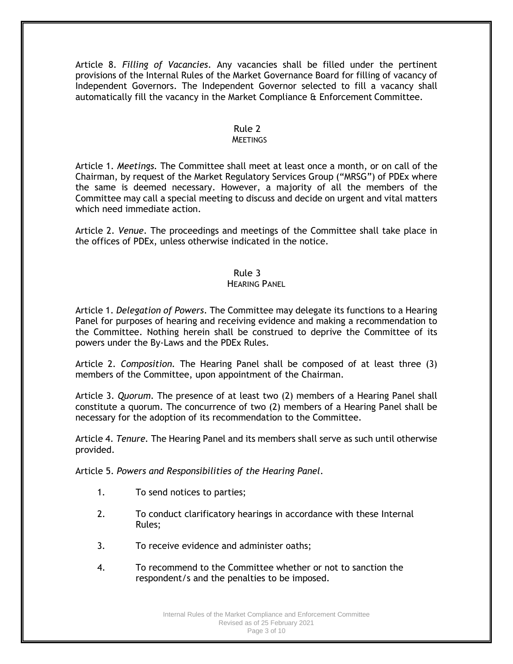Article 8. *Filling of Vacancies*. Any vacancies shall be filled under the pertinent provisions of the Internal Rules of the Market Governance Board for filling of vacancy of Independent Governors. The Independent Governor selected to fill a vacancy shall automatically fill the vacancy in the Market Compliance & Enforcement Committee.

### Rule 2

#### **MEETINGS**

Article 1. *Meetings.* The Committee shall meet at least once a month, or on call of the Chairman, by request of the Market Regulatory Services Group ("MRSG") of PDEx where the same is deemed necessary. However, a majority of all the members of the Committee may call a special meeting to discuss and decide on urgent and vital matters which need immediate action.

Article 2. *Venue*. The proceedings and meetings of the Committee shall take place in the offices of PDEx, unless otherwise indicated in the notice.

### Rule 3

#### HEARING PANEL

Article 1. *Delegation of Powers*. The Committee may delegate its functions to a Hearing Panel for purposes of hearing and receiving evidence and making a recommendation to the Committee. Nothing herein shall be construed to deprive the Committee of its powers under the By-Laws and the PDEx Rules.

Article 2. *Composition.* The Hearing Panel shall be composed of at least three (3) members of the Committee, upon appointment of the Chairman.

Article 3. *Quorum*. The presence of at least two (2) members of a Hearing Panel shall constitute a quorum. The concurrence of two (2) members of a Hearing Panel shall be necessary for the adoption of its recommendation to the Committee.

Article 4. *Tenure.* The Hearing Panel and its members shall serve as such until otherwise provided.

Article 5. *Powers and Responsibilities of the Hearing Panel*.

- 1. To send notices to parties;
- 2. To conduct clarificatory hearings in accordance with these Internal Rules;
- 3. To receive evidence and administer oaths;
- 4. To recommend to the Committee whether or not to sanction the respondent/s and the penalties to be imposed.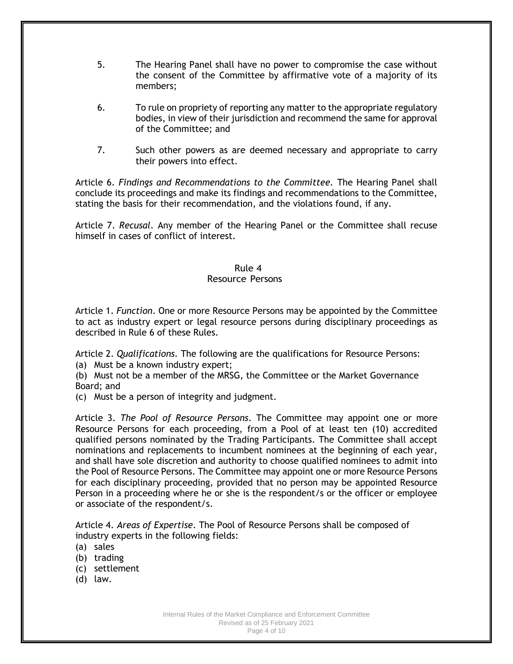- 5. The Hearing Panel shall have no power to compromise the case without the consent of the Committee by affirmative vote of a majority of its members;
- 6. To rule on propriety of reporting any matter to the appropriate regulatory bodies, in view of their jurisdiction and recommend the same for approval of the Committee; and
- 7. Such other powers as are deemed necessary and appropriate to carry their powers into effect.

Article 6. *Findings and Recommendations to the Committee.* The Hearing Panel shall conclude its proceedings and make its findings and recommendations to the Committee, stating the basis for their recommendation, and the violations found, if any.

Article 7. *Recusal*. Any member of the Hearing Panel or the Committee shall recuse himself in cases of conflict of interest.

#### Rule 4

#### Resource Persons

Article 1. *Function*. One or more Resource Persons may be appointed by the Committee to act as industry expert or legal resource persons during disciplinary proceedings as described in Rule 6 of these Rules.

Article 2. *Qualifications.* The following are the qualifications for Resource Persons:

(a) Must be a known industry expert;

(b) Must not be a member of the MRSG, the Committee or the Market Governance Board; and

(c) Must be a person of integrity and judgment.

Article 3. *The Pool of Resource Persons*. The Committee may appoint one or more Resource Persons for each proceeding, from a Pool of at least ten (10) accredited qualified persons nominated by the Trading Participants. The Committee shall accept nominations and replacements to incumbent nominees at the beginning of each year, and shall have sole discretion and authority to choose qualified nominees to admit into the Pool of Resource Persons. The Committee may appoint one or more Resource Persons for each disciplinary proceeding, provided that no person may be appointed Resource Person in a proceeding where he or she is the respondent/s or the officer or employee or associate of the respondent/s.

Article 4. *Areas of Expertise*. The Pool of Resource Persons shall be composed of industry experts in the following fields:

- (a) sales
- (b) trading
- (c) settlement
- (d) law.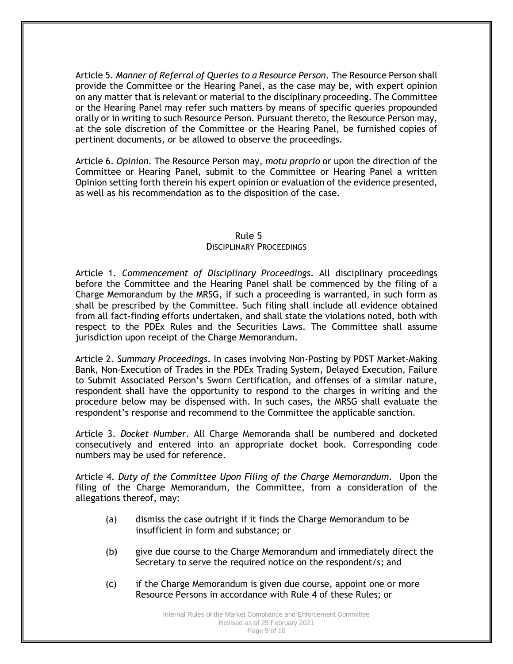Article 5. *Manner of Referral of Queries to a Resource Person*. The Resource Person shall provide the Committee or the Hearing Panel, as the case may be, with expert opinion on any matter that is relevant or material to the disciplinary proceeding. The Committee or the Hearing Panel may refer such matters by means of specific queries propounded orally or in writing to such Resource Person. Pursuant thereto, the Resource Person may, at the sole discretion of the Committee or the Hearing Panel, be furnished copies of pertinent documents, or be allowed to observe the proceedings.

Article 6. *Opinion.* The Resource Person may, *motu proprio* or upon the direction of the Committee or Hearing Panel, submit to the Committee or Hearing Panel a written Opinion setting forth therein his expert opinion or evaluation of the evidence presented, as well as his recommendation as to the disposition of the case.

#### Rule 5 DISCIPLINARY PROCEEDINGS

Article 1. *Commencement of Disciplinary Proceedings*. All disciplinary proceedings before the Committee and the Hearing Panel shall be commenced by the filing of a Charge Memorandum by the MRSG, if such a proceeding is warranted, in such form as shall be prescribed by the Committee. Such filing shall include all evidence obtained from all fact-finding efforts undertaken, and shall state the violations noted, both with respect to the PDEx Rules and the Securities Laws. The Committee shall assume jurisdiction upon receipt of the Charge Memorandum.

Article 2. *Summary Proceedings*. In cases involving Non-Posting by PDST Market-Making Bank, Non-Execution of Trades in the PDEx Trading System, Delayed Execution, Failure to Submit Associated Person's Sworn Certification, and offenses of a similar nature, respondent shall have the opportunity to respond to the charges in writing and the procedure below may be dispensed with. In such cases, the MRSG shall evaluate the respondent's response and recommend to the Committee the applicable sanction.

Article 3. *Docket Number*. All Charge Memoranda shall be numbered and docketed consecutively and entered into an appropriate docket book. Corresponding code numbers may be used for reference.

Article 4. *Duty of the Committee Upon Filing of the Charge Memorandum.* Upon the filing of the Charge Memorandum, the Committee, from a consideration of the allegations thereof, may:

- (a) dismiss the case outright if it finds the Charge Memorandum to be insufficient in form and substance; or
- (b) give due course to the Charge Memorandum and immediately direct the Secretary to serve the required notice on the respondent/s; and
- (c) if the Charge Memorandum is given due course, appoint one or more Resource Persons in accordance with Rule 4 of these Rules; or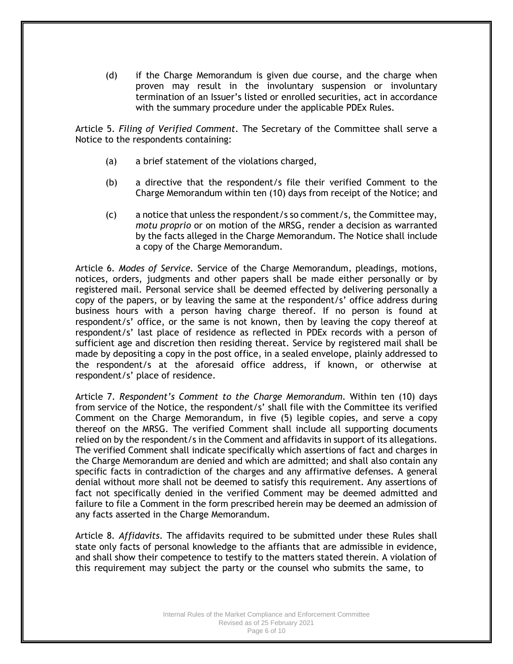(d) if the Charge Memorandum is given due course, and the charge when proven may result in the involuntary suspension or involuntary termination of an Issuer's listed or enrolled securities, act in accordance with the summary procedure under the applicable PDEx Rules.

Article 5. *Filing of Verified Comment*. The Secretary of the Committee shall serve a Notice to the respondents containing:

- (a) a brief statement of the violations charged,
- (b) a directive that the respondent/s file their verified Comment to the Charge Memorandum within ten (10) days from receipt of the Notice; and
- $(c)$  a notice that unless the respondent/s so comment/s, the Committee may, *motu proprio* or on motion of the MRSG, render a decision as warranted by the facts alleged in the Charge Memorandum. The Notice shall include a copy of the Charge Memorandum.

Article 6*. Modes of Service.* Service of the Charge Memorandum, pleadings, motions, notices, orders, judgments and other papers shall be made either personally or by registered mail. Personal service shall be deemed effected by delivering personally a copy of the papers, or by leaving the same at the respondent/s' office address during business hours with a person having charge thereof. If no person is found at respondent/s' office, or the same is not known, then by leaving the copy thereof at respondent/s' last place of residence as reflected in PDEx records with a person of sufficient age and discretion then residing thereat. Service by registered mail shall be made by depositing a copy in the post office, in a sealed envelope, plainly addressed to the respondent/s at the aforesaid office address, if known, or otherwise at respondent/s' place of residence.

Article 7. *Respondent's Comment to the Charge Memorandum*. Within ten (10) days from service of the Notice, the respondent/s' shall file with the Committee its verified Comment on the Charge Memorandum, in five (5) legible copies, and serve a copy thereof on the MRSG. The verified Comment shall include all supporting documents relied on by the respondent/s in the Comment and affidavits in support of its allegations. The verified Comment shall indicate specifically which assertions of fact and charges in the Charge Memorandum are denied and which are admitted; and shall also contain any specific facts in contradiction of the charges and any affirmative defenses. A general denial without more shall not be deemed to satisfy this requirement. Any assertions of fact not specifically denied in the verified Comment may be deemed admitted and failure to file a Comment in the form prescribed herein may be deemed an admission of any facts asserted in the Charge Memorandum.

Article 8*. Affidavits*. The affidavits required to be submitted under these Rules shall state only facts of personal knowledge to the affiants that are admissible in evidence, and shall show their competence to testify to the matters stated therein. A violation of this requirement may subject the party or the counsel who submits the same, to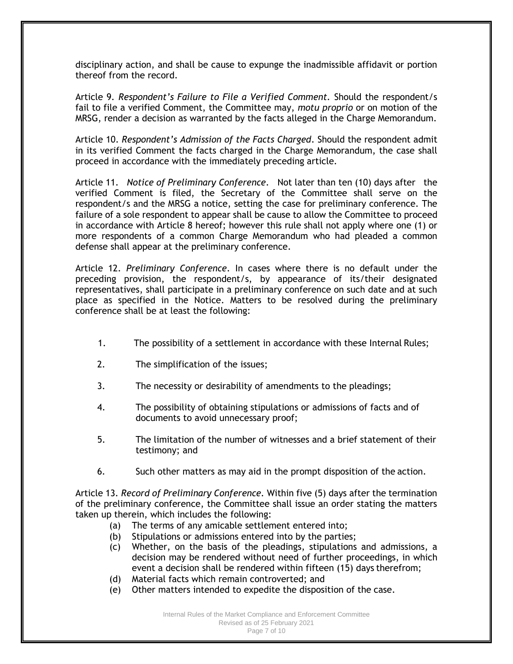disciplinary action, and shall be cause to expunge the inadmissible affidavit or portion thereof from the record.

Article 9*. Respondent's Failure to File a Verified Comment.* Should the respondent/s fail to file a verified Comment, the Committee may, *motu proprio* or on motion of the MRSG, render a decision as warranted by the facts alleged in the Charge Memorandum.

Article 10. *Respondent's Admission of the Facts Charged*. Should the respondent admit in its verified Comment the facts charged in the Charge Memorandum, the case shall proceed in accordance with the immediately preceding article.

Article 11. *Notice of Preliminary Conference*. Not later than ten (10) days after the verified Comment is filed, the Secretary of the Committee shall serve on the respondent/s and the MRSG a notice, setting the case for preliminary conference. The failure of a sole respondent to appear shall be cause to allow the Committee to proceed in accordance with Article 8 hereof; however this rule shall not apply where one (1) or more respondents of a common Charge Memorandum who had pleaded a common defense shall appear at the preliminary conference.

Article 12. *Preliminary Conference*. In cases where there is no default under the preceding provision, the respondent/s, by appearance of its/their designated representatives, shall participate in a preliminary conference on such date and at such place as specified in the Notice. Matters to be resolved during the preliminary conference shall be at least the following:

- 1. The possibility of a settlement in accordance with these Internal Rules;
- 2. The simplification of the issues;
- 3. The necessity or desirability of amendments to the pleadings;
- 4. The possibility of obtaining stipulations or admissions of facts and of documents to avoid unnecessary proof;
- 5. The limitation of the number of witnesses and a brief statement of their testimony; and
- 6. Such other matters as may aid in the prompt disposition of the action.

Article 13. *Record of Preliminary Conference.* Within five (5) days after the termination of the preliminary conference, the Committee shall issue an order stating the matters taken up therein, which includes the following:

- (a) The terms of any amicable settlement entered into;
- (b) Stipulations or admissions entered into by the parties;
- (c) Whether, on the basis of the pleadings, stipulations and admissions, a decision may be rendered without need of further proceedings, in which event a decision shall be rendered within fifteen (15) days therefrom;
- (d) Material facts which remain controverted; and
- (e) Other matters intended to expedite the disposition of the case.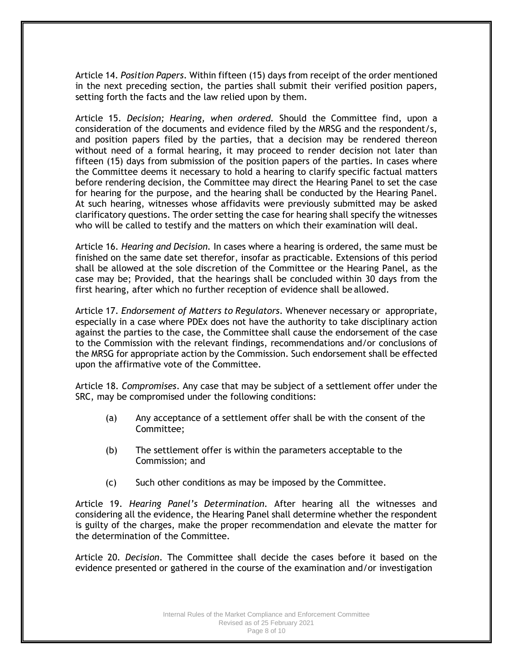Article 14. *Position Papers*. Within fifteen (15) days from receipt of the order mentioned in the next preceding section, the parties shall submit their verified position papers, setting forth the facts and the law relied upon by them.

Article 15. *Decision; Hearing, when ordered.* Should the Committee find, upon a consideration of the documents and evidence filed by the MRSG and the respondent/s, and position papers filed by the parties, that a decision may be rendered thereon without need of a formal hearing, it may proceed to render decision not later than fifteen (15) days from submission of the position papers of the parties. In cases where the Committee deems it necessary to hold a hearing to clarify specific factual matters before rendering decision, the Committee may direct the Hearing Panel to set the case for hearing for the purpose, and the hearing shall be conducted by the Hearing Panel. At such hearing, witnesses whose affidavits were previously submitted may be asked clarificatory questions. The order setting the case for hearing shall specify the witnesses who will be called to testify and the matters on which their examination will deal.

Article 16. *Hearing and Decision.* In cases where a hearing is ordered, the same must be finished on the same date set therefor, insofar as practicable. Extensions of this period shall be allowed at the sole discretion of the Committee or the Hearing Panel, as the case may be; Provided, that the hearings shall be concluded within 30 days from the first hearing, after which no further reception of evidence shall be allowed.

Article 17. *Endorsement of Matters to Regulators*. Whenever necessary or appropriate, especially in a case where PDEx does not have the authority to take disciplinary action against the parties to the case, the Committee shall cause the endorsement of the case to the Commission with the relevant findings, recommendations and/or conclusions of the MRSG for appropriate action by the Commission. Such endorsement shall be effected upon the affirmative vote of the Committee.

Article 18. *Compromises*. Any case that may be subject of a settlement offer under the SRC, may be compromised under the following conditions:

- (a) Any acceptance of a settlement offer shall be with the consent of the Committee;
- (b) The settlement offer is within the parameters acceptable to the Commission; and
- (c) Such other conditions as may be imposed by the Committee.

Article 19. *Hearing Panel's Determination.* After hearing all the witnesses and considering all the evidence, the Hearing Panel shall determine whether the respondent is guilty of the charges, make the proper recommendation and elevate the matter for the determination of the Committee.

Article 20*. Decision*. The Committee shall decide the cases before it based on the evidence presented or gathered in the course of the examination and/or investigation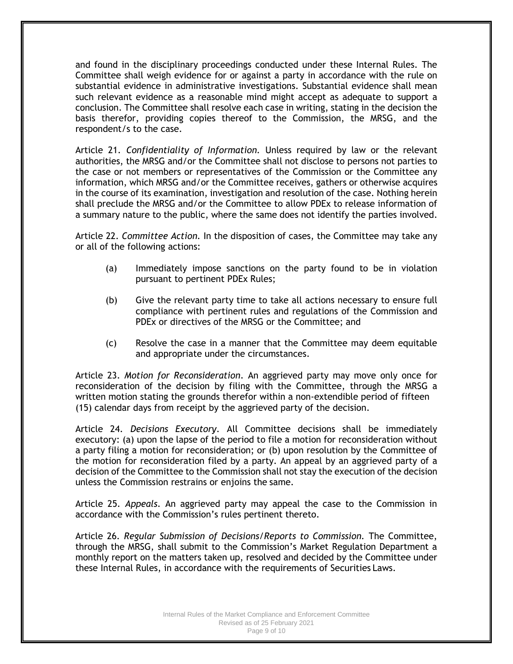and found in the disciplinary proceedings conducted under these Internal Rules. The Committee shall weigh evidence for or against a party in accordance with the rule on substantial evidence in administrative investigations. Substantial evidence shall mean such relevant evidence as a reasonable mind might accept as adequate to support a conclusion. The Committee shall resolve each case in writing, stating in the decision the basis therefor, providing copies thereof to the Commission, the MRSG, and the respondent/s to the case.

Article 21. *Confidentiality of Information.* Unless required by law or the relevant authorities, the MRSG and/or the Committee shall not disclose to persons not parties to the case or not members or representatives of the Commission or the Committee any information, which MRSG and/or the Committee receives, gathers or otherwise acquires in the course of its examination, investigation and resolution of the case. Nothing herein shall preclude the MRSG and/or the Committee to allow PDEx to release information of a summary nature to the public, where the same does not identify the parties involved.

Article 22. *Committee Action.* In the disposition of cases, the Committee may take any or all of the following actions:

- (a) Immediately impose sanctions on the party found to be in violation pursuant to pertinent PDEx Rules;
- (b) Give the relevant party time to take all actions necessary to ensure full compliance with pertinent rules and regulations of the Commission and PDEx or directives of the MRSG or the Committee; and
- (c) Resolve the case in a manner that the Committee may deem equitable and appropriate under the circumstances.

Article 23. *Motion for Reconsideration*. An aggrieved party may move only once for reconsideration of the decision by filing with the Committee, through the MRSG a written motion stating the grounds therefor within a non-extendible period of fifteen (15) calendar days from receipt by the aggrieved party of the decision.

Article 24. *Decisions Executory*. All Committee decisions shall be immediately executory: (a) upon the lapse of the period to file a motion for reconsideration without a party filing a motion for reconsideration; or (b) upon resolution by the Committee of the motion for reconsideration filed by a party. An appeal by an aggrieved party of a decision of the Committee to the Commission shall not stay the execution of the decision unless the Commission restrains or enjoins the same.

Article 25. *Appeals*. An aggrieved party may appeal the case to the Commission in accordance with the Commission's rules pertinent thereto.

Article 26. *Regular Submission of Decisions/Reports to Commission.* The Committee, through the MRSG, shall submit to the Commission's Market Regulation Department a monthly report on the matters taken up, resolved and decided by the Committee under these Internal Rules, in accordance with the requirements of Securities Laws.